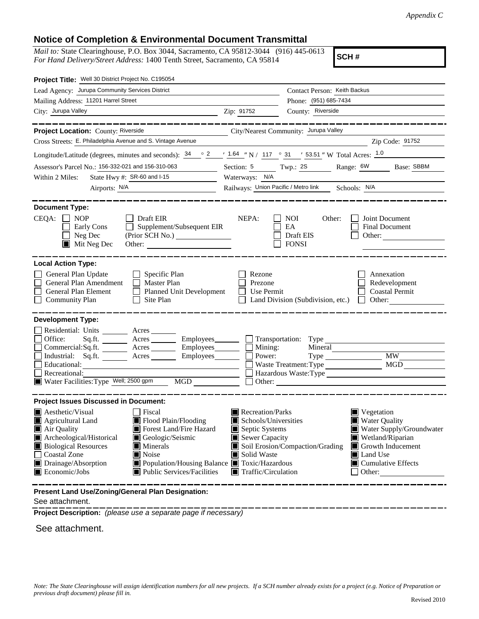## **Notice of Completion & Environmental Document Transmittal**

*Mail to:* State Clearinghouse, P.O. Box 3044, Sacramento, CA 95812-3044 (916) 445-0613 *For Hand Delivery/Street Address:* 1400 Tenth Street, Sacramento, CA 95814

**SCH #**

| Project Title: Well 30 District Project No. C195054                                                                                                                                                                                                                                                                                                                                                              |                                                                                                                                   |                                                                   |                                                                                                                                                                                            |  |  |
|------------------------------------------------------------------------------------------------------------------------------------------------------------------------------------------------------------------------------------------------------------------------------------------------------------------------------------------------------------------------------------------------------------------|-----------------------------------------------------------------------------------------------------------------------------------|-------------------------------------------------------------------|--------------------------------------------------------------------------------------------------------------------------------------------------------------------------------------------|--|--|
| Lead Agency: Jurupa Community Services District                                                                                                                                                                                                                                                                                                                                                                  |                                                                                                                                   | Contact Person: Keith Backus                                      |                                                                                                                                                                                            |  |  |
| Mailing Address: 11201 Harrel Street                                                                                                                                                                                                                                                                                                                                                                             |                                                                                                                                   | Phone: (951) 685-7434                                             |                                                                                                                                                                                            |  |  |
| City: Jurupa Valley                                                                                                                                                                                                                                                                                                                                                                                              | Zip: 91752                                                                                                                        | County: Riverside                                                 |                                                                                                                                                                                            |  |  |
|                                                                                                                                                                                                                                                                                                                                                                                                                  |                                                                                                                                   |                                                                   | <u>. 22 22 22 22 22 22 22 2</u>                                                                                                                                                            |  |  |
| Project Location: County: Riverside                                                                                                                                                                                                                                                                                                                                                                              |                                                                                                                                   | City/Nearest Community: Jurupa Valley                             |                                                                                                                                                                                            |  |  |
| Cross Streets: E. Philadelphia Avenue and S. Vintage Avenue                                                                                                                                                                                                                                                                                                                                                      |                                                                                                                                   |                                                                   | Zip Code: 91752                                                                                                                                                                            |  |  |
| Longitude/Latitude (degrees, minutes and seconds): $\frac{34}{2}$ $\frac{2}{1.64}$ $\frac{1.64}{1.7}$ N / 117 $\degree$ 31 $\degree$ 53.51 " W Total Acres: $\frac{1.0}{1.64}$                                                                                                                                                                                                                                   |                                                                                                                                   |                                                                   |                                                                                                                                                                                            |  |  |
| Assessor's Parcel No.: 156-332-021 and 156-310-063                                                                                                                                                                                                                                                                                                                                                               |                                                                                                                                   | Section: $\frac{5}{2}$ Twp.: $\frac{2S}{2}$ Range: $\frac{6W}{2}$ | Base: SBBM                                                                                                                                                                                 |  |  |
| State Hwy #: SR-60 and I-15<br>Within 2 Miles:                                                                                                                                                                                                                                                                                                                                                                   | Waterways: N/A                                                                                                                    |                                                                   |                                                                                                                                                                                            |  |  |
| Airports: N/A                                                                                                                                                                                                                                                                                                                                                                                                    |                                                                                                                                   | Railways: Union Pacific / Metro link Schools: N/A                 |                                                                                                                                                                                            |  |  |
| <b>Document Type:</b><br>$CEQA: \Box$<br><b>NOP</b><br>Draft EIR<br>Supplement/Subsequent EIR<br>Early Cons<br>Neg Dec<br>(Prior SCH No.)<br>$\blacksquare$ Mit Neg Dec<br>Other:                                                                                                                                                                                                                                | NEPA:                                                                                                                             | <b>NOI</b><br>Other:<br>EA<br>Draft EIS<br><b>FONSI</b>           | Joint Document<br>Final Document<br>Other:                                                                                                                                                 |  |  |
| <b>Local Action Type:</b><br>General Plan Update<br>Specific Plan<br>General Plan Amendment<br>$\Box$ Master Plan<br>General Plan Element<br>Planned Unit Development<br>$\Box$<br><b>Community Plan</b><br>Site Plan                                                                                                                                                                                            | Rezone<br>Prezone<br>Use Permit                                                                                                   | Land Division (Subdivision, etc.)                                 | Annexation<br>Redevelopment<br><b>Coastal Permit</b><br>Other:                                                                                                                             |  |  |
| <b>Development Type:</b>                                                                                                                                                                                                                                                                                                                                                                                         |                                                                                                                                   |                                                                   |                                                                                                                                                                                            |  |  |
| Residential: Units _______ Acres ______<br>Office:<br>Sq.ft. ________ Acres _________ Employees _______ __ Transportation: Type _______<br>Commercial:Sq.ft. Acres Employees<br>Industrial: $Sq.fit.$ Acres<br>Educational:<br>Recreational:<br>Water Facilities: Type Well; 2500 gpm<br>MGD                                                                                                                     | $\blacksquare$ Mining:<br>Power:<br>Employees_________                                                                            | Waste Treatment: Type<br>Hazardous Waste:Type                     | <b>MW</b><br><b>MGD</b>                                                                                                                                                                    |  |  |
| <b>Project Issues Discussed in Document:</b>                                                                                                                                                                                                                                                                                                                                                                     |                                                                                                                                   |                                                                   |                                                                                                                                                                                            |  |  |
| $\blacksquare$ Aesthetic/Visual<br>Fiscal<br>Flood Plain/Flooding<br>Agricultural Land<br>IП<br>Forest Land/Fire Hazard<br>Air Quality<br>Archeological/Historical<br>Geologic/Seismic<br><b>Biological Resources</b><br>$\blacksquare$ Minerals<br>Coastal Zone<br>Noise<br>Drainage/Absorption<br>■ Population/Housing Balance ■ Toxic/Hazardous<br>$\blacksquare$ Economic/Jobs<br>Public Services/Facilities | Recreation/Parks<br>Schools/Universities<br>Septic Systems<br>Sewer Capacity<br>Solid Waste<br>$\blacksquare$ Traffic/Circulation | Soil Erosion/Compaction/Grading                                   | $\blacksquare$ Vegetation<br><b>Water Quality</b><br>Water Supply/Groundwater<br>Wetland/Riparian<br>Growth Inducement<br><b>I</b> Land Use<br>$\blacksquare$ Cumulative Effects<br>Other: |  |  |
| Present Land Use/Zoning/General Plan Designation:                                                                                                                                                                                                                                                                                                                                                                |                                                                                                                                   |                                                                   |                                                                                                                                                                                            |  |  |

See attachment.

**Project Description:** *(please use a separate page if necessary)*

See attachment.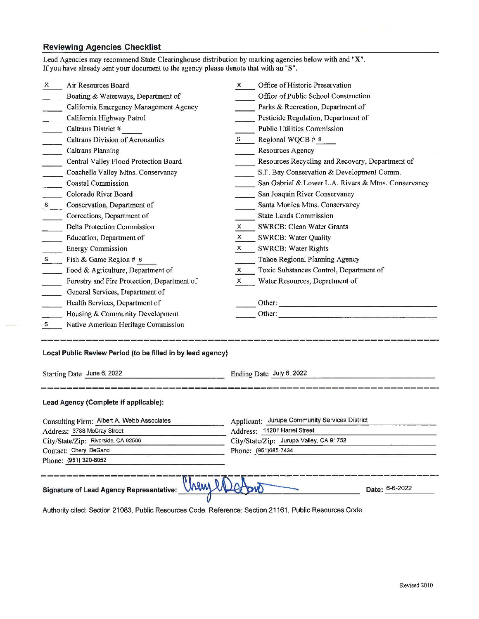## **Reviewing Agencies Checklist**

|                                                                                              | hem                                                         |              |                                                                                                 |  |  |
|----------------------------------------------------------------------------------------------|-------------------------------------------------------------|--------------|-------------------------------------------------------------------------------------------------|--|--|
|                                                                                              |                                                             |              |                                                                                                 |  |  |
|                                                                                              | Phone: (951) 320-6052                                       |              |                                                                                                 |  |  |
| Address: 3788 McCray Street<br>City/State/Zip: Riverside, CA 92506<br>Contact: Cheryl DeGano |                                                             |              | Address: 11201 Harrel Street<br>City/State/Zip: Jurupa Valley, CA 91752<br>Phone: (951)685-7434 |  |  |
|                                                                                              |                                                             |              |                                                                                                 |  |  |
|                                                                                              | Consulting Firm: Albert A. Webb Associates                  |              | Applicant: Jurupa Community Services District                                                   |  |  |
|                                                                                              | Lead Agency (Complete if applicable):                       |              |                                                                                                 |  |  |
| Starting Date June 6, 2022                                                                   |                                                             |              | Ending Date July 6, 2022                                                                        |  |  |
|                                                                                              | Local Public Review Period (to be filled in by lead agency) |              |                                                                                                 |  |  |
| S —                                                                                          | Native American Heritage Commission                         |              |                                                                                                 |  |  |
|                                                                                              | Housing & Community Development                             |              |                                                                                                 |  |  |
|                                                                                              | Health Services, Department of                              |              |                                                                                                 |  |  |
|                                                                                              | General Services, Department of                             |              |                                                                                                 |  |  |
|                                                                                              | Forestry and Fire Protection, Department of                 | $\mathsf{x}$ | Water Resources, Department of                                                                  |  |  |
|                                                                                              | Food & Agriculture, Department of                           | X.           | Toxic Substances Control, Department of                                                         |  |  |
| S                                                                                            | Fish & Game Region # 6                                      |              | Tahoe Regional Planning Agency                                                                  |  |  |
|                                                                                              | <b>Energy Commission</b>                                    | X.           | <b>SWRCB: Water Rights</b>                                                                      |  |  |
|                                                                                              | Education, Department of                                    | X.           | <b>SWRCB: Water Quality</b>                                                                     |  |  |
|                                                                                              | <b>Delta Protection Commission</b>                          | x.           | SWRCB: Clean Water Grants                                                                       |  |  |
|                                                                                              | Corrections, Department of                                  |              | State Lands Commission                                                                          |  |  |
| $S_{\perp}$                                                                                  | Conservation, Department of                                 |              | Santa Monica Mtns. Conservancy                                                                  |  |  |
|                                                                                              | Colorado River Board                                        |              | San Joaquin River Conservancy                                                                   |  |  |
|                                                                                              | <b>Coastal Commission</b>                                   |              | San Gabriel & Lower L.A. Rivers & Mtns. Conservancy                                             |  |  |
|                                                                                              | Coachella Valley Mtns. Conservancy                          |              | S.F. Bay Conservation & Development Comm.                                                       |  |  |
|                                                                                              | Central Valley Flood Protection Board                       |              | Resources Recycling and Recovery, Department of                                                 |  |  |
|                                                                                              | <b>Caltrans Planning</b>                                    |              | Resources Agency                                                                                |  |  |
|                                                                                              | <b>Caltrans Division of Aeronautics</b>                     | S.           | Regional WQCB # 8                                                                               |  |  |
| $\overline{\phantom{a}}$                                                                     | Caltrans District #                                         |              | <b>Public Utilities Commission</b>                                                              |  |  |
|                                                                                              | California Highway Patrol                                   |              | Pesticide Regulation, Department of                                                             |  |  |
|                                                                                              | California Emergency Management Agency                      |              | Parks & Recreation, Department of                                                               |  |  |
|                                                                                              | Boating & Waterways, Department of                          |              | Office of Public School Construction                                                            |  |  |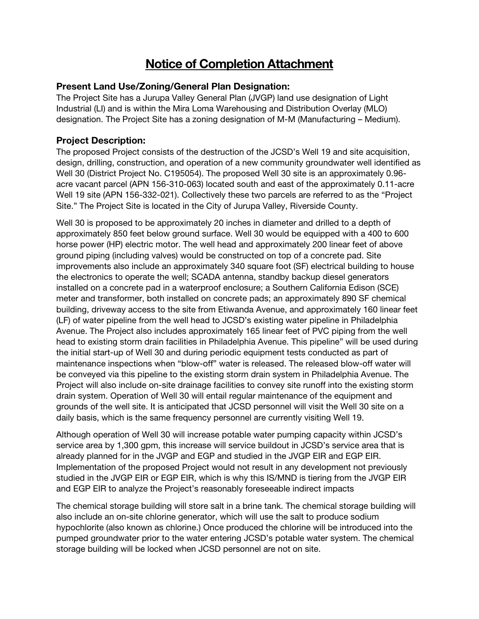# Notice of Completion Attachment

#### Present Land Use/Zoning/General Plan Designation:

The Project Site has a Jurupa Valley General Plan (JVGP) land use designation of Light Industrial (LI) and is within the Mira Loma Warehousing and Distribution Overlay (MLO) designation. The Project Site has a zoning designation of M-M (Manufacturing – Medium).

## Project Description:

The proposed Project consists of the destruction of the JCSD's Well 19 and site acquisition, design, drilling, construction, and operation of a new community groundwater well identified as Well 30 (District Project No. C195054). The proposed Well 30 site is an approximately 0.96 acre vacant parcel (APN 156-310-063) located south and east of the approximately 0.11-acre Well 19 site (APN 156-332-021). Collectively these two parcels are referred to as the "Project Site." The Project Site is located in the City of Jurupa Valley, Riverside County.

Well 30 is proposed to be approximately 20 inches in diameter and drilled to a depth of approximately 850 feet below ground surface. Well 30 would be equipped with a 400 to 600 horse power (HP) electric motor. The well head and approximately 200 linear feet of above ground piping (including valves) would be constructed on top of a concrete pad. Site improvements also include an approximately 340 square foot (SF) electrical building to house the electronics to operate the well; SCADA antenna, standby backup diesel generators installed on a concrete pad in a waterproof enclosure; a Southern California Edison (SCE) meter and transformer, both installed on concrete pads; an approximately 890 SF chemical building, driveway access to the site from Etiwanda Avenue, and approximately 160 linear feet (LF) of water pipeline from the well head to JCSD's existing water pipeline in Philadelphia Avenue. The Project also includes approximately 165 linear feet of PVC piping from the well head to existing storm drain facilities in Philadelphia Avenue. This pipeline" will be used during the initial start-up of Well 30 and during periodic equipment tests conducted as part of maintenance inspections when "blow-off" water is released. The released blow-off water will be conveyed via this pipeline to the existing storm drain system in Philadelphia Avenue. The Project will also include on-site drainage facilities to convey site runoff into the existing storm drain system. Operation of Well 30 will entail regular maintenance of the equipment and grounds of the well site. It is anticipated that JCSD personnel will visit the Well 30 site on a daily basis, which is the same frequency personnel are currently visiting Well 19.

Although operation of Well 30 will increase potable water pumping capacity within JCSD's service area by 1,300 gpm, this increase will service buildout in JCSD's service area that is already planned for in the JVGP and EGP and studied in the JVGP EIR and EGP EIR. Implementation of the proposed Project would not result in any development not previously studied in the JVGP EIR or EGP EIR, which is why this IS/MND is tiering from the JVGP EIR and EGP EIR to analyze the Project's reasonably foreseeable indirect impacts

The chemical storage building will store salt in a brine tank. The chemical storage building will also include an on-site chlorine generator, which will use the salt to produce sodium hypochlorite (also known as chlorine.) Once produced the chlorine will be introduced into the pumped groundwater prior to the water entering JCSD's potable water system. The chemical storage building will be locked when JCSD personnel are not on site.